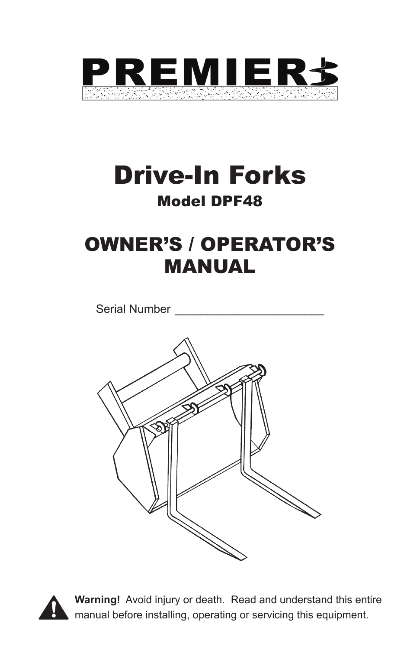

# Drive-In Forks Model DPF48

## OWNER'S / OPERATOR'S MANUAL

Serial Number





**Warning!** Avoid injury or death. Read and understand this entire manual before installing, operating or servicing this equipment.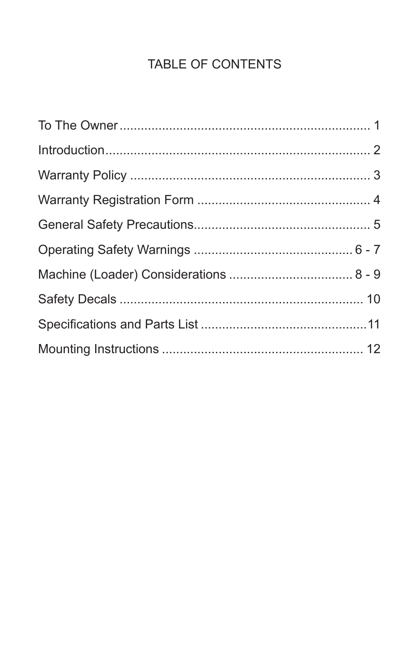## **TABLE OF CONTENTS**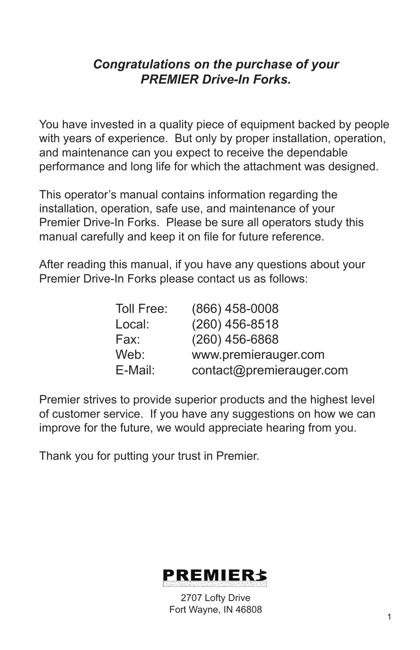## *Congratulations on the purchase of your PREMIER Drive-In Forks.*

You have invested in a quality piece of equipment backed by people with years of experience. But only by proper installation, operation, and maintenance can you expect to receive the dependable performance and long life for which the attachment was designed.

This operator's manual contains information regarding the installation, operation, safe use, and maintenance of your Premier Drive-In Forks. Please be sure all operators study this manual carefully and keep it on file for future reference.

After reading this manual, if you have any questions about your Premier Drive-In Forks please contact us as follows:

| Toll Free: | $(866)$ 458-0008         |
|------------|--------------------------|
| Local:     | $(260)$ 456-8518         |
| Fax:       | $(260)$ 456-6868         |
| Web:       | www.premierauger.com     |
| E-Mail:    | contact@premierauger.com |

Premier strives to provide superior products and the highest level of customer service. If you have any suggestions on how we can improve for the future, we would appreciate hearing from you.

Thank you for putting your trust in Premier.



2707 Lofty Drive Fort Wayne, IN 46808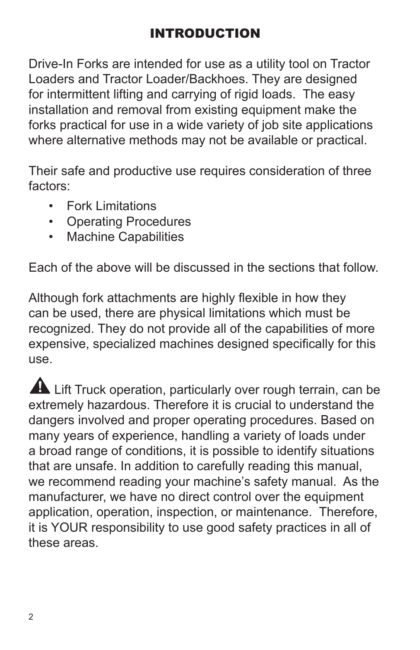Drive-In Forks are intended for use as a utility tool on Tractor Loaders and Tractor Loader/Backhoes. They are designed for intermittent lifting and carrying of rigid loads. The easy installation and removal from existing equipment make the forks practical for use in a wide variety of job site applications where alternative methods may not be available or practical.

Their safe and productive use requires consideration of three factors:

- Fork Limitations
- Operating Procedures
- Machine Capabilities

Each of the above will be discussed in the sections that follow.

Although fork attachments are highly flexible in how they can be used, there are physical limitations which must be recognized. They do not provide all of the capabilities of more expensive, specialized machines designed specifically for this use.

Lift Truck operation, particularly over rough terrain, can be extremely hazardous. Therefore it is crucial to understand the dangers involved and proper operating procedures. Based on many years of experience, handling a variety of loads under a broad range of conditions, it is possible to identify situations that are unsafe. In addition to carefully reading this manual, we recommend reading your machine's safety manual. As the manufacturer, we have no direct control over the equipment application, operation, inspection, or maintenance. Therefore, it is YOUR responsibility to use good safety practices in all of these areas.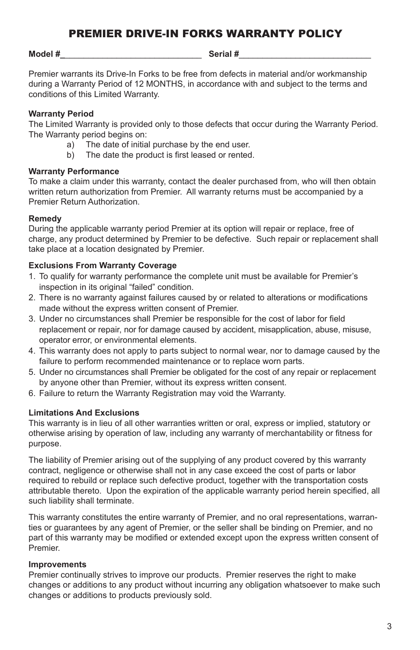#### **Model #\_**\_\_\_\_\_\_\_\_\_\_\_\_\_\_\_\_\_\_\_\_\_\_\_\_\_\_\_\_\_ **Serial #**\_\_\_\_\_\_\_\_\_\_\_\_\_\_\_\_\_\_\_\_\_\_\_\_\_\_\_\_

Premier warrants its Drive-In Forks to be free from defects in material and/or workmanship during a Warranty Period of 12 MONTHS, in accordance with and subject to the terms and conditions of this Limited Warranty.

#### **Warranty Period**

The Limited Warranty is provided only to those defects that occur during the Warranty Period. The Warranty period begins on:

- a) The date of initial purchase by the end user.
- b) The date the product is first leased or rented.

#### **Warranty Performance**

To make a claim under this warranty, contact the dealer purchased from, who will then obtain written return authorization from Premier. All warranty returns must be accompanied by a Premier Return Authorization.

#### **Remedy**

During the applicable warranty period Premier at its option will repair or replace, free of charge, any product determined by Premier to be defective. Such repair or replacement shall take place at a location designated by Premier.

#### **Exclusions From Warranty Coverage**

- 1. To qualify for warranty performance the complete unit must be available for Premier's inspection in its original "failed" condition.
- 2. There is no warranty against failures caused by or related to alterations or modifications made without the express written consent of Premier.
- 3. Under no circumstances shall Premier be responsible for the cost of labor for field replacement or repair, nor for damage caused by accident, misapplication, abuse, misuse, operator error, or environmental elements.
- 4. This warranty does not apply to parts subject to normal wear, nor to damage caused by the failure to perform recommended maintenance or to replace worn parts.
- 5. Under no circumstances shall Premier be obligated for the cost of any repair or replacement by anyone other than Premier, without its express written consent.
- 6. Failure to return the Warranty Registration may void the Warranty.

#### **Limitations And Exclusions**

This warranty is in lieu of all other warranties written or oral, express or implied, statutory or otherwise arising by operation of law, including any warranty of merchantability or fitness for purpose.

The liability of Premier arising out of the supplying of any product covered by this warranty contract, negligence or otherwise shall not in any case exceed the cost of parts or labor required to rebuild or replace such defective product, together with the transportation costs attributable thereto. Upon the expiration of the applicable warranty period herein specified, all such liability shall terminate.

This warranty constitutes the entire warranty of Premier, and no oral representations, warranties or guarantees by any agent of Premier, or the seller shall be binding on Premier, and no part of this warranty may be modified or extended except upon the express written consent of Premier.

#### **Improvements**

Premier continually strives to improve our products. Premier reserves the right to make changes or additions to any product without incurring any obligation whatsoever to make such changes or additions to products previously sold.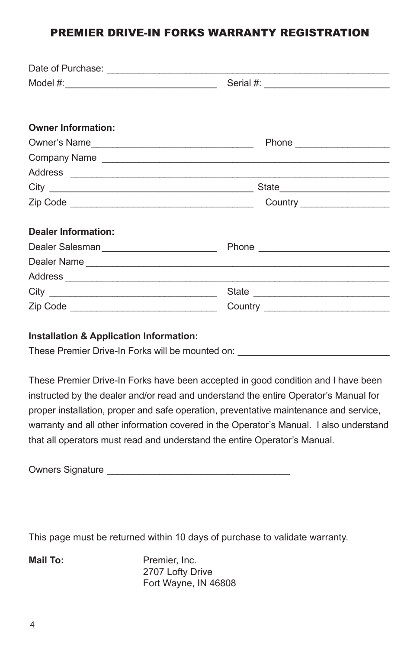### PREMIER DRIVE-IN FORKS WARRANTY REGISTRATION

| <b>Owner Information:</b>                  |                               |  |
|--------------------------------------------|-------------------------------|--|
| Owner's Name                               |                               |  |
|                                            | Company Name                  |  |
|                                            |                               |  |
|                                            |                               |  |
|                                            | Country _____________________ |  |
|                                            |                               |  |
| <b>Dealer Information:</b>                 |                               |  |
|                                            |                               |  |
|                                            |                               |  |
|                                            |                               |  |
|                                            |                               |  |
| Zip Code _________________________________ |                               |  |

#### **Installation & Application Information:**

These Premier Drive-In Forks will be mounted on:

These Premier Drive-In Forks have been accepted in good condition and I have been instructed by the dealer and/or read and understand the entire Operator's Manual for proper installation, proper and safe operation, preventative maintenance and service, warranty and all other information covered in the Operator's Manual. I also understand that all operators must read and understand the entire Operator's Manual.

| <b>Owners Signature</b> |
|-------------------------|
|-------------------------|

This page must be returned within 10 days of purchase to validate warranty.

**Mail To:** Premier, Inc. 2707 Lofty Drive Fort Wayne, IN 46808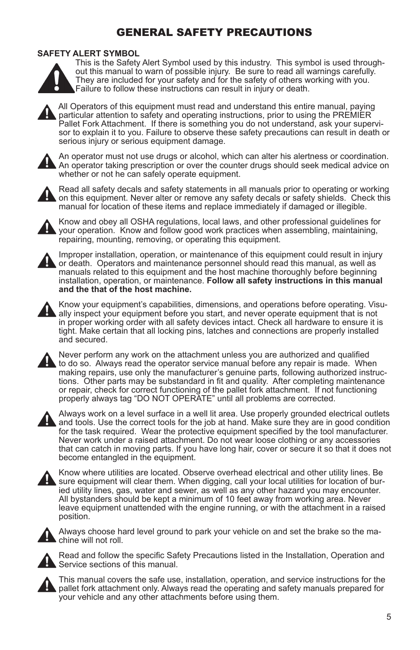## GENERAL SAFETY PRECAUTIONS

#### **SAFETY ALERT SYMBOL**



This is the Safety Alert Symbol used by this industry. This symbol is used throughout this manual to warn of possible injury. Be sure to read all warnings carefully. They are included for your safety and for the safety of others working with you. Failure to follow these instructions can result in injury or death.



All Operators of this equipment must read and understand this entire manual, paying particular attention to safety and operating instructions, prior to using the PREMIER Pallet Fork Attachment. If there is something you do not understand, ask your supervisor to explain it to you. Failure to observe these safety precautions can result in death or serious injury or serious equipment damage.



An operator must not use drugs or alcohol, which can alter his alertness or coordination. An operator taking prescription or over the counter drugs should seek medical advice on whether or not he can safely operate equipment.



Read all safety decals and safety statements in all manuals prior to operating or working on this equipment. Never alter or remove any safety decals or safety shields. Check this manual for location of these items and replace immediately if damaged or illegible.



Know and obey all OSHA regulations, local laws, and other professional guidelines for your operation. Know and follow good work practices when assembling, maintaining, repairing, mounting, removing, or operating this equipment.



Improper installation, operation, or maintenance of this equipment could result in injury or death. Operators and maintenance personnel should read this manual, as well as manuals related to this equipment and the host machine thoroughly before beginning installation, operation, or maintenance. **Follow all safety instructions in this manual and the that of the host machine.**



Know your equipment's capabilities, dimensions, and operations before operating. Visually inspect your equipment before you start, and never operate equipment that is not in proper working order with all safety devices intact. Check all hardware to ensure it is tight. Make certain that all locking pins, latches and connections are properly installed and secured.



Never perform any work on the attachment unless you are authorized and qualified  $\blacktriangle$  to do so. Always read the operator service manual before any repair is made. When making repairs, use only the manufacturer's genuine parts, following authorized instructions. Other parts may be substandard in fit and quality. After completing maintenance or repair, check for correct functioning of the pallet fork attachment. If not functioning properly always tag "DO NOT OPERATE" until all problems are corrected.



Always work on a level surface in a well lit area. Use properly grounded electrical outlets and tools. Use the correct tools for the job at hand. Make sure they are in good condition for the task required. Wear the protective equipment specified by the tool manufacturer. Never work under a raised attachment. Do not wear loose clothing or any accessories that can catch in moving parts. If you have long hair, cover or secure it so that it does not become entangled in the equipment.



Know where utilities are located. Observe overhead electrical and other utility lines. Be sure equipment will clear them. When digging, call your local utilities for location of buried utility lines, gas, water and sewer, as well as any other hazard you may encounter. All bystanders should be kept a minimum of 10 feet away from working area. Never leave equipment unattended with the engine running, or with the attachment in a raised position.



Always choose hard level ground to park your vehicle on and set the brake so the machine will not roll.



Read and follow the specific Safety Precautions listed in the Installation, Operation and Service sections of this manual.



This manual covers the safe use, installation, operation, and service instructions for the pallet fork attachment only. Always read the operating and safety manuals prepared for your vehicle and any other attachments before using them.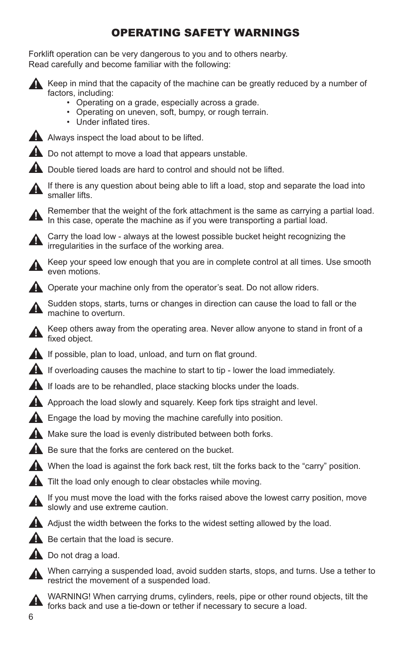## OPERATING SAFETY WARNINGS

Forklift operation can be very dangerous to you and to others nearby. Read carefully and become familiar with the following:



Keep in mind that the capacity of the machine can be greatly reduced by a number of factors, including:

- Operating on a grade, especially across a grade.
- Operating on uneven, soft, bumpy, or rough terrain.
- Under inflated tires.



Always inspect the load about to be lifted.

**A** Do not attempt to move a load that appears unstable.

**A** Double tiered loads are hard to control and should not be lifted.

If there is any question about being able to lift a load, stop and separate the load into smaller lifts.

Remember that the weight of the fork attachment is the same as carrying a partial load. In this case, operate the machine as if you were transporting a partial load.

Carry the load low - always at the lowest possible bucket height recognizing the irregularities in the surface of the working area.

Keep your speed low enough that you are in complete control at all times. Use smooth even motions.

**A** Operate your machine only from the operator's seat. Do not allow riders.

Sudden stops, starts, turns or changes in direction can cause the load to fall or the machine to overturn.

Keep others away from the operating area. Never allow anyone to stand in front of a fixed object.

If possible, plan to load, unload, and turn on flat ground.

If overloading causes the machine to start to tip - lower the load immediately.

If loads are to be rehandled, place stacking blocks under the loads.

Approach the load slowly and squarely. Keep fork tips straight and level.

**A** Engage the load by moving the machine carefully into position.

Make sure the load is evenly distributed between both forks.

Be sure that the forks are centered on the bucket.

When the load is against the fork back rest, tilt the forks back to the "carry" position.

**A** Tilt the load only enough to clear obstacles while moving.

If you must move the load with the forks raised above the lowest carry position, move slowly and use extreme caution.

A Adjust the width between the forks to the widest setting allowed by the load.

 $\triangle$  Be certain that the load is secure.

Do not drag a load.

When carrying a suspended load, avoid sudden starts, stops, and turns. Use a tether to restrict the movement of a suspended load.



WARNING! When carrying drums, cylinders, reels, pipe or other round objects, tilt the forks back and use a tie-down or tether if necessary to secure a load.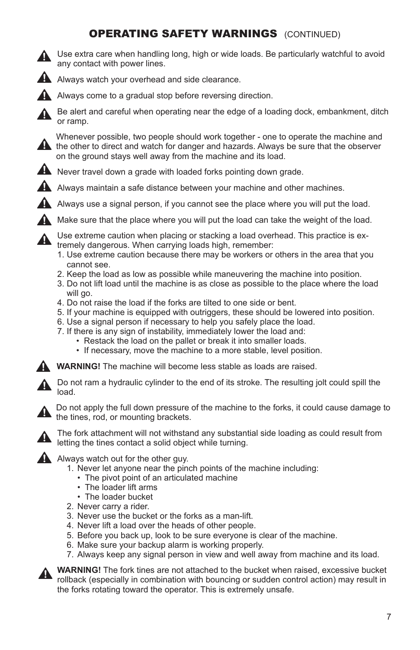## **OPERATING SAFETY WARNINGS** (CONTINUED)



Use extra care when handling long, high or wide loads. Be particularly watchful to avoid any contact with power lines.



Always watch your overhead and side clearance.



Always come to a gradual stop before reversing direction.

Be alert and careful when operating near the edge of a loading dock, embankment, ditch or ramp.

Whenever possible, two people should work together - one to operate the machine and **A** the other to direct and watch for danger and hazards. Always be sure that the observer on the ground stays well away from the machine and its load.



A Always maintain a safe distance between your machine and other machines.

Always use a signal person, if you cannot see the place where you will put the load.

Make sure that the place where you will put the load can take the weight of the load.

Use extreme caution when placing or stacking a load overhead. This practice is extremely dangerous. When carrying loads high, remember:

- 1. Use extreme caution because there may be workers or others in the area that you cannot see.
- 2. Keep the load as low as possible while maneuvering the machine into position.
- 3. Do not lift load until the machine is as close as possible to the place where the load will go.
- 4. Do not raise the load if the forks are tilted to one side or bent.
- 5. If your machine is equipped with outriggers, these should be lowered into position.
- 6. Use a signal person if necessary to help you safely place the load.
- 7. If there is any sign of instability, immediately lower the load and:
	- Restack the load on the pallet or break it into smaller loads.
	- If necessary, move the machine to a more stable, level position.

**WARNING!** The machine will become less stable as loads are raised.

Do not ram a hydraulic cylinder to the end of its stroke. The resulting jolt could spill the load.



Do not apply the full down pressure of the machine to the forks, it could cause damage to the tines, rod, or mounting brackets.



The fork attachment will not withstand any substantial side loading as could result from **A** life for analysism the time of a solid object while turning.

A Always watch out for the other guy.

- 1. Never let anyone near the pinch points of the machine including:
	- The pivot point of an articulated machine
	- The loader lift arms
	- The loader bucket
- 2. Never carry a rider.
- 3. Never use the bucket or the forks as a man-lift.
- 4. Never lift a load over the heads of other people.
- 5. Before you back up, look to be sure everyone is clear of the machine.
- 6. Make sure your backup alarm is working properly.
- 7. Always keep any signal person in view and well away from machine and its load.



**WARNING!** The fork tines are not attached to the bucket when raised, excessive bucket **EXECUTE IN A REPORT IN CONDUCT A REPORT OF SULTAN IN A REPORT OF SULTAN CONDUCT** FOLLOWS FOLLOWS FOLLOWS FOLLOWS FOLLOWS FOLLOWS FOLLOWS FOLLOWS FOLLOWS FOLLOWS FOLLOWS FOLLOWS FOLLOWS FOLLOWS FOLLOWS FOLLOWS FOLLOWS FOLL the forks rotating toward the operator. This is extremely unsafe.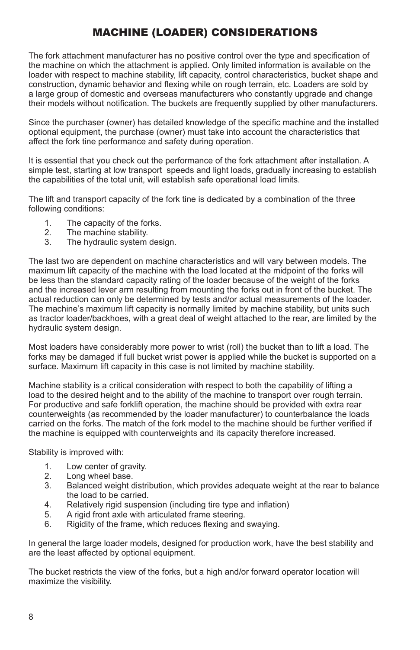## MACHINE (LOADER) CONSIDERATIONS

The fork attachment manufacturer has no positive control over the type and specification of the machine on which the attachment is applied. Only limited information is available on the loader with respect to machine stability, lift capacity, control characteristics, bucket shape and construction, dynamic behavior and flexing while on rough terrain, etc. Loaders are sold by a large group of domestic and overseas manufacturers who constantly upgrade and change their models without notification. The buckets are frequently supplied by other manufacturers.

Since the purchaser (owner) has detailed knowledge of the specific machine and the installed optional equipment, the purchase (owner) must take into account the characteristics that affect the fork tine performance and safety during operation.

It is essential that you check out the performance of the fork attachment after installation. A simple test, starting at low transport speeds and light loads, gradually increasing to establish the capabilities of the total unit, will establish safe operational load limits.

The lift and transport capacity of the fork tine is dedicated by a combination of the three following conditions:

- 1. The capacity of the forks.<br>2. The machine stability.
- 2. The machine stability.<br>3. The hydraulic system
- The hydraulic system design.

The last two are dependent on machine characteristics and will vary between models. The maximum lift capacity of the machine with the load located at the midpoint of the forks will be less than the standard capacity rating of the loader because of the weight of the forks and the increased lever arm resulting from mounting the forks out in front of the bucket. The actual reduction can only be determined by tests and/or actual measurements of the loader. The machine's maximum lift capacity is normally limited by machine stability, but units such as tractor loader/backhoes, with a great deal of weight attached to the rear, are limited by the hydraulic system design.

Most loaders have considerably more power to wrist (roll) the bucket than to lift a load. The forks may be damaged if full bucket wrist power is applied while the bucket is supported on a surface. Maximum lift capacity in this case is not limited by machine stability.

Machine stability is a critical consideration with respect to both the capability of lifting a load to the desired height and to the ability of the machine to transport over rough terrain. For productive and safe forklift operation, the machine should be provided with extra rear counterweights (as recommended by the loader manufacturer) to counterbalance the loads carried on the forks. The match of the fork model to the machine should be further verified if the machine is equipped with counterweights and its capacity therefore increased.

Stability is improved with:

- 1. Low center of gravity.<br>2. Long wheel base.
- 2. Long wheel base.<br>3. Balanced weight o
- Balanced weight distribution, which provides adequate weight at the rear to balance the load to be carried.<br>4. Relatively rigid susper
- 4. Relatively rigid suspension (including tire type and inflation)<br>5. A rigid front axle with articulated frame steering.
- 5. A rigid front axle with articulated frame steering.
- Rigidity of the frame, which reduces flexing and swaying.

In general the large loader models, designed for production work, have the best stability and are the least affected by optional equipment.

The bucket restricts the view of the forks, but a high and/or forward operator location will maximize the visibility.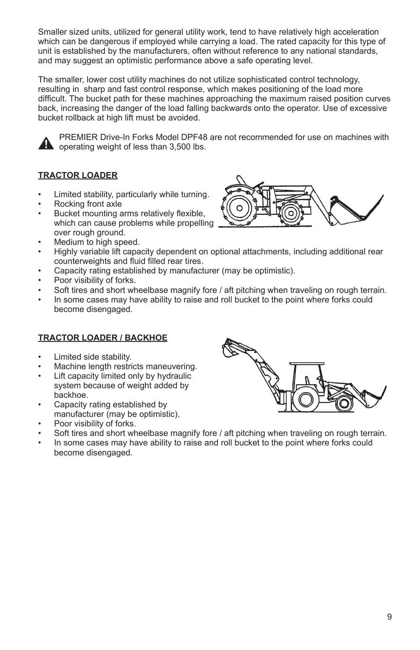Smaller sized units, utilized for general utility work, tend to have relatively high acceleration which can be dangerous if employed while carrying a load. The rated capacity for this type of unit is established by the manufacturers, often without reference to any national standards, and may suggest an optimistic performance above a safe operating level.

The smaller, lower cost utility machines do not utilize sophisticated control technology, resulting in sharp and fast control response, which makes positioning of the load more difficult. The bucket path for these machines approaching the maximum raised position curves back, increasing the danger of the load falling backwards onto the operator. Use of excessive bucket rollback at high lift must be avoided.



PREMIER Drive-In Forks Model DPF48 are not recommended for use on machines with operating weight of less than 3,500 lbs.

#### **TRACTOR LOADER**

- Limited stability, particularly while turning.
- Rocking front axle
- Bucket mounting arms relatively flexible. which can cause problems while propelling over rough ground.
- Medium to high speed.
- Highly variable lift capacity dependent on optional attachments, including additional rear counterweights and fluid filled rear tires.
- Capacity rating established by manufacturer (may be optimistic).
- Poor visibility of forks.
- Soft tires and short wheelbase magnify fore / aft pitching when traveling on rough terrain.
- In some cases may have ability to raise and roll bucket to the point where forks could become disengaged.

#### **TRACTOR LOADER / BACKHOE**

- Limited side stability.
- Machine length restricts maneuvering.
- Lift capacity limited only by hydraulic system because of weight added by backhoe.
- Capacity rating established by manufacturer (may be optimistic).
- Poor visibility of forks.
- Soft tires and short wheelbase magnify fore / aft pitching when traveling on rough terrain.
- In some cases may have ability to raise and roll bucket to the point where forks could become disengaged.

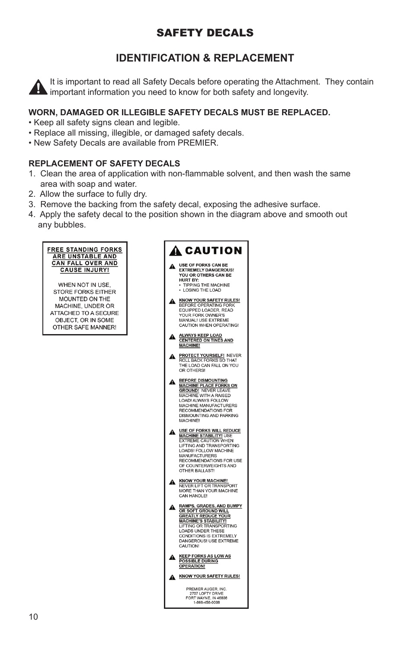## SAFETY DECALS

## **IDENTIFICATION & REPLACEMENT**

It is important to read all Safety Decals before operating the Attachment. They contain **in the important information you need to know for both safety and longevity.** 

#### **WORN, DAMAGED OR ILLEGIBLE SAFETY DECALS MUST BE REPLACED.**

- Keep all safety signs clean and legible.
- Replace all missing, illegible, or damaged safety decals.
- New Safety Decals are available from PREMIER.

#### **REPLACEMENT OF SAFETY DECALS**

- 1. Clean the area of application with non-flammable solvent, and then wash the same area with soap and water.
- 2. Allow the surface to fully dry.
- 3. Remove the backing from the safety decal, exposing the adhesive surface.
- 4. Apply the safety decal to the position shown in the diagram above and smooth out any bubbles.

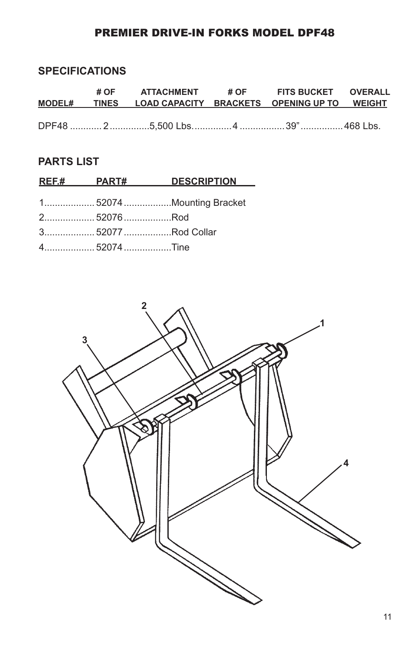## PREMIER DRIVE-IN FORKS MODEL DPF48

## **SPECIFICATIONS**

|  | # OF ATTACHMENT # OF FITS BUCKET OVERALL<br>MODEL# TINES LOAD CAPACITY BRACKETS OPENING UP TO WEIGHT |  |  |
|--|------------------------------------------------------------------------------------------------------|--|--|
|  |                                                                                                      |  |  |

## **PARTS LIST**

|                    | REF.# PART# DESCRIPTION |
|--------------------|-------------------------|
|                    |                         |
|                    |                         |
| 2 52076Rod         |                         |
| 3 52077 Rod Collar |                         |
| 452074Tine         |                         |

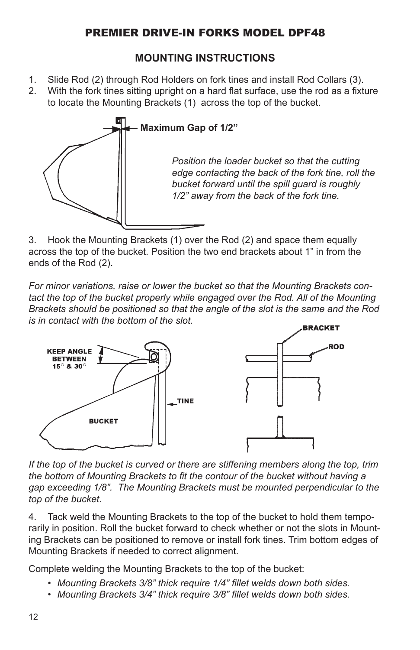## PREMIER DRIVE-IN FORKS MODEL DPF48

## **MOUNTING INSTRUCTIONS**

- 1. Slide Rod (2) through Rod Holders on fork tines and install Rod Collars (3).
- 2. With the fork tines sitting upright on a hard flat surface, use the rod as a fixture to locate the Mounting Brackets (1) across the top of the bucket.



3. Hook the Mounting Brackets (1) over the Rod (2) and space them equally across the top of the bucket. Position the two end brackets about 1" in from the ends of the Rod (2).

*For minor variations, raise or lower the bucket so that the Mounting Brackets con*tact the top of the bucket properly while engaged over the Rod. All of the Mounting *Brackets should be positioned so that the angle of the slot is the same and the Rod is in contact with the bottom of the slot.*



*If the top of the bucket is curved or there are stiffening members along the top, trim the bottom of Mounting Brackets to fit the contour of the bucket without having a gap exceeding 1/8". The Mounting Brackets must be mounted perpendicular to the top of the bucket.*

4. Tack weld the Mounting Brackets to the top of the bucket to hold them temporarily in position. Roll the bucket forward to check whether or not the slots in Mounting Brackets can be positioned to remove or install fork tines. Trim bottom edges of Mounting Brackets if needed to correct alignment.

Complete welding the Mounting Brackets to the top of the bucket:

- *• Mounting Brackets 3/8" thick require 1/4" fillet welds down both sides.*
- *• Mounting Brackets 3/4" thick require 3/8" fillet welds down both sides.*